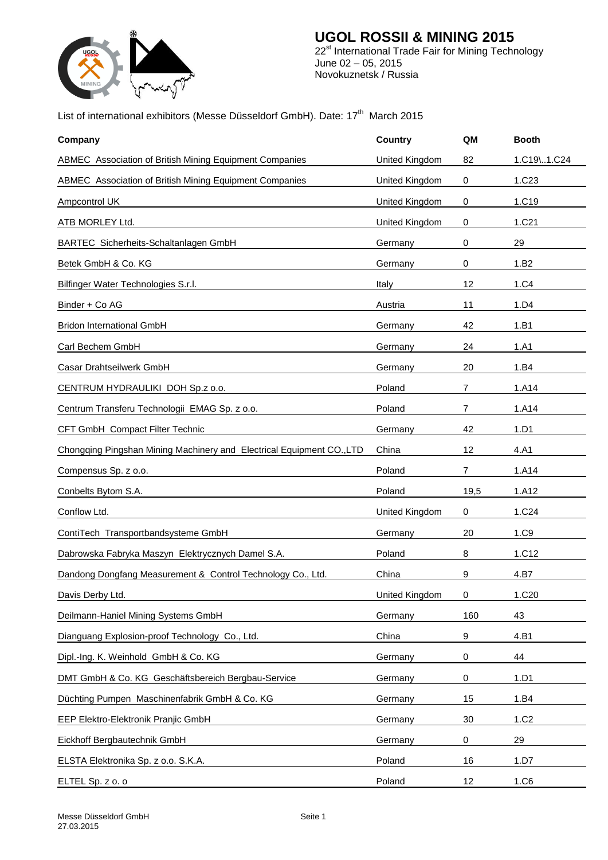

#### **UGOL ROSSII & MINING 2015** 22<sup>st</sup> International Trade Fair for Mining Technology June 02 – 05, 2015 Novokuznetsk / Russia

## List of international exhibitors (Messe Düsseldorf GmbH). Date: 17<sup>th</sup> March 2015

| Company                                                               | <b>Country</b> | QM             | <b>Booth</b>      |
|-----------------------------------------------------------------------|----------------|----------------|-------------------|
| ABMEC Association of British Mining Equipment Companies               | United Kingdom | 82             | 1.C19\1.C24       |
| ABMEC Association of British Mining Equipment Companies               | United Kingdom | 0              | 1.C <sub>23</sub> |
| Ampcontrol UK                                                         | United Kingdom | 0              | 1.C19             |
| ATB MORLEY Ltd.                                                       | United Kingdom | 0              | 1.C21             |
| BARTEC Sicherheits-Schaltanlagen GmbH                                 | Germany        | 0              | 29                |
| Betek GmbH & Co. KG                                                   | Germany        | 0              | 1.B <sub>2</sub>  |
| Bilfinger Water Technologies S.r.l.                                   | Italy          | 12             | 1.C4              |
| Binder + Co AG                                                        | Austria        | 11             | 1.D4              |
| <b>Bridon International GmbH</b>                                      | Germany        | 42             | 1.B1              |
| Carl Bechem GmbH                                                      | Germany        | 24             | 1.A1              |
| Casar Drahtseilwerk GmbH                                              | Germany        | 20             | 1.B4              |
| CENTRUM HYDRAULIKI DOH Sp.z o.o.                                      | Poland         | $\overline{7}$ | 1.A14             |
| Centrum Transferu Technologii EMAG Sp. z o.o.                         | Poland         | $\overline{7}$ | 1.A14             |
| CFT GmbH Compact Filter Technic                                       | Germany        | 42             | 1.D1              |
| Chongqing Pingshan Mining Machinery and Electrical Equipment CO., LTD | China          | 12             | 4.A1              |
| Compensus Sp. z o.o.                                                  | Poland         | $\overline{7}$ | 1.A14             |
| Conbelts Bytom S.A.                                                   | Poland         | 19,5           | 1.A12             |
| Conflow Ltd.                                                          | United Kingdom | 0              | 1.C <sub>24</sub> |
| ContiTech Transportbandsysteme GmbH                                   | Germany        | 20             | 1.C9              |
| Dabrowska Fabryka Maszyn Elektrycznych Damel S.A.                     | Poland         | 8              | 1.C12             |
| Dandong Dongfang Measurement & Control Technology Co., Ltd.           | China          | 9              | 4.B7              |
| Davis Derby Ltd.                                                      | United Kingdom | 0              | 1.C20             |
| Deilmann-Haniel Mining Systems GmbH                                   | Germany        | 160            | 43                |
| Dianguang Explosion-proof Technology Co., Ltd.                        | China          | 9              | 4.B1              |
| Dipl.-Ing. K. Weinhold GmbH & Co. KG                                  | Germany        | 0              | 44                |
| DMT GmbH & Co. KG Geschäftsbereich Bergbau-Service                    | Germany        | $\,0\,$        | 1.D1              |
| Düchting Pumpen Maschinenfabrik GmbH & Co. KG                         | Germany        | 15             | 1.B4              |
| EEP Elektro-Elektronik Pranjic GmbH                                   | Germany        | 30             | 1.C <sub>2</sub>  |
| Eickhoff Bergbautechnik GmbH                                          | Germany        | 0              | 29                |
| ELSTA Elektronika Sp. z o.o. S.K.A.                                   | Poland         | 16             | 1.D7              |
| ELTEL Sp. z o. o                                                      | Poland         | 12             | 1.C6              |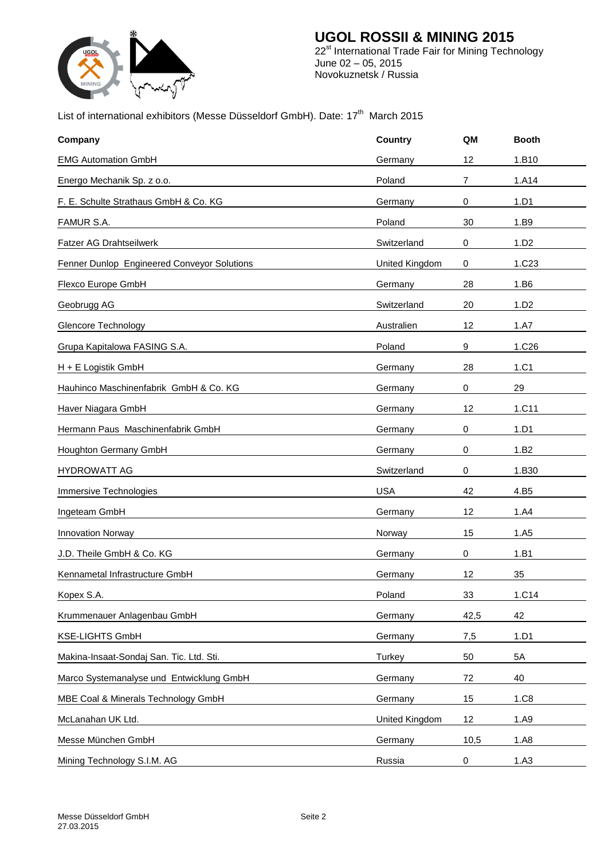

#### **UGOL ROSSII & MINING 2015** 22<sup>st</sup> International Trade Fair for Mining Technology June 02 – 05, 2015 Novokuznetsk / Russia

## List of international exhibitors (Messe Düsseldorf GmbH). Date: 17<sup>th</sup> March 2015

| Company                                     | <b>Country</b> | QM   | <b>Booth</b>      |
|---------------------------------------------|----------------|------|-------------------|
| <b>EMG Automation GmbH</b>                  | Germany        | 12   | 1.B10             |
| Energo Mechanik Sp. z o.o.                  | Poland         | 7    | 1.A14             |
| F. E. Schulte Strathaus GmbH & Co. KG       | Germany        | 0    | 1.D1              |
| FAMUR S.A.                                  | Poland         | 30   | 1.B9              |
| Fatzer AG Drahtseilwerk                     | Switzerland    | 0    | 1.D2              |
| Fenner Dunlop Engineered Conveyor Solutions | United Kingdom | 0    | 1.C <sub>23</sub> |
| Flexco Europe GmbH                          | Germany        | 28   | 1.B6              |
| Geobrugg AG                                 | Switzerland    | 20   | 1.D2              |
| Glencore Technology                         | Australien     | 12   | 1.A7              |
| Grupa Kapitalowa FASING S.A.                | Poland         | 9    | 1.C <sub>26</sub> |
| H + E Logistik GmbH                         | Germany        | 28   | 1.C1              |
| Hauhinco Maschinenfabrik GmbH & Co. KG      | Germany        | 0    | 29                |
| Haver Niagara GmbH                          | Germany        | 12   | 1.C11             |
| Hermann Paus Maschinenfabrik GmbH           | Germany        | 0    | 1.D1              |
| Houghton Germany GmbH                       | Germany        | 0    | 1.B2              |
| <b>HYDROWATT AG</b>                         | Switzerland    | 0    | 1.B30             |
| Immersive Technologies                      | <b>USA</b>     | 42   | 4.B5              |
| Ingeteam GmbH                               | Germany        | 12   | 1.A4              |
| <b>Innovation Norway</b>                    | Norway         | 15   | 1.A5              |
| J.D. Theile GmbH & Co. KG                   | Germany        | 0    | 1.B1              |
| Kennametal Infrastructure GmbH              | Germany        | 12   | 35                |
| Kopex S.A.                                  | Poland         | 33   | 1.C14             |
| Krummenauer Anlagenbau GmbH                 | Germany        | 42,5 | 42                |
| <b>KSE-LIGHTS GmbH</b>                      | Germany        | 7,5  | 1.D1              |
| Makina-Insaat-Sondaj San. Tic. Ltd. Sti.    | Turkey         | 50   | 5A                |
| Marco Systemanalyse und Entwicklung GmbH    | Germany        | 72   | 40                |
| MBE Coal & Minerals Technology GmbH         | Germany        | 15   | 1.C8              |
| McLanahan UK Ltd.                           | United Kingdom | 12   | 1.A9              |
| Messe München GmbH                          | Germany        | 10,5 | 1.A8              |
| Mining Technology S.I.M. AG                 | Russia         | 0    | 1.A3              |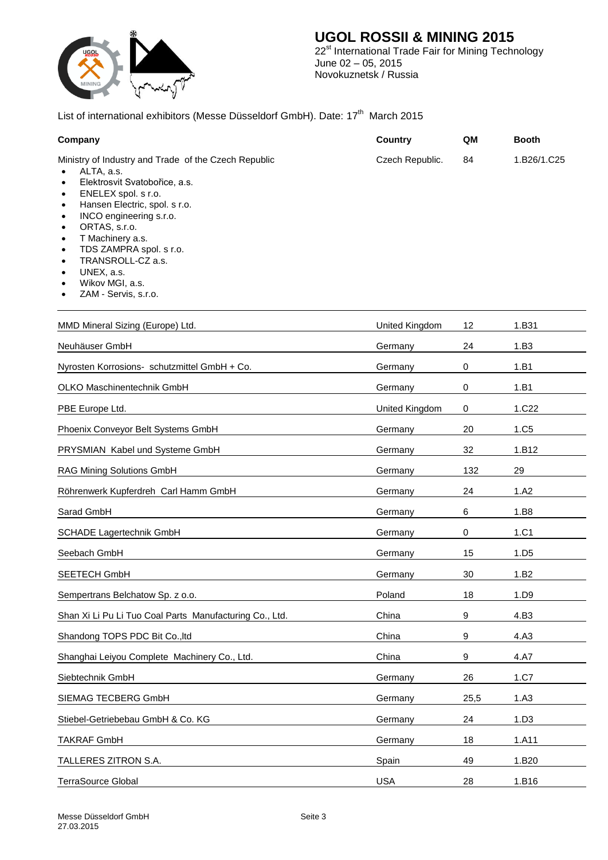

# **UGOL ROSSII & MINING 2015**

22<sup>st</sup> International Trade Fair for Mining Technology June 02 – 05, 2015 Novokuznetsk / Russia

### List of international exhibitors (Messe Düsseldorf GmbH). Date: 17<sup>th</sup> March 2015

| Company                                                                                                                                                                                                                                                                                                                                                                                      | <b>Country</b>  | QM        | <b>Booth</b>     |  |
|----------------------------------------------------------------------------------------------------------------------------------------------------------------------------------------------------------------------------------------------------------------------------------------------------------------------------------------------------------------------------------------------|-----------------|-----------|------------------|--|
| Ministry of Industry and Trade of the Czech Republic<br>ALTA, a.s.<br>Elektrosvit Svatobořice, a.s.<br>٠<br>ENELEX spol. s r.o.<br>٠<br>Hansen Electric, spol. s r.o.<br>$\bullet$<br>INCO engineering s.r.o.<br>٠<br>ORTAS, s.r.o.<br>T Machinery a.s.<br>٠<br>TDS ZAMPRA spol. s r.o.<br>٠<br>TRANSROLL-CZ a.s.<br>٠<br>UNEX, a.s.<br>$\bullet$<br>Wikov MGI, a.s.<br>ZAM - Servis, s.r.o. | Czech Republic. | 84        | 1.B26/1.C25      |  |
| MMD Mineral Sizing (Europe) Ltd.                                                                                                                                                                                                                                                                                                                                                             | United Kingdom  | 12        | 1.B31            |  |
| Neuhäuser GmbH                                                                                                                                                                                                                                                                                                                                                                               | Germany         | 24        | 1.B3             |  |
| Nyrosten Korrosions- schutzmittel GmbH + Co.                                                                                                                                                                                                                                                                                                                                                 | Germany         | 0         | 1.B1             |  |
| OLKO Maschinentechnik GmbH                                                                                                                                                                                                                                                                                                                                                                   | Germany         | 0         | 1.B1             |  |
| PBE Europe Ltd.                                                                                                                                                                                                                                                                                                                                                                              | United Kingdom  | $\pmb{0}$ | 1.C22            |  |
| Phoenix Conveyor Belt Systems GmbH                                                                                                                                                                                                                                                                                                                                                           | Germany         | 20        | 1.C <sub>5</sub> |  |
| PRYSMIAN Kabel und Systeme GmbH                                                                                                                                                                                                                                                                                                                                                              | Germany         | 32        | 1.B12            |  |
| RAG Mining Solutions GmbH                                                                                                                                                                                                                                                                                                                                                                    | Germany         | 132       | 29               |  |
| Röhrenwerk Kupferdreh Carl Hamm GmbH                                                                                                                                                                                                                                                                                                                                                         | Germany         | 24        | 1.A2             |  |
| Sarad GmbH                                                                                                                                                                                                                                                                                                                                                                                   | Germany         | 6         | 1.B8             |  |
| SCHADE Lagertechnik GmbH                                                                                                                                                                                                                                                                                                                                                                     | Germany         | 0         | 1.C1             |  |
| Seebach GmbH                                                                                                                                                                                                                                                                                                                                                                                 | Germany         | 15        | 1.D <sub>5</sub> |  |
| SEETECH GmbH                                                                                                                                                                                                                                                                                                                                                                                 | Germany         | 30        | 1.B2             |  |
| Sempertrans Belchatow Sp. z o.o.                                                                                                                                                                                                                                                                                                                                                             | Poland          | 18        | 1.D9             |  |
| Shan Xi Li Pu Li Tuo Coal Parts Manufacturing Co., Ltd.                                                                                                                                                                                                                                                                                                                                      | China           | 9         | 4.B3             |  |
| Shandong TOPS PDC Bit Co., Itd                                                                                                                                                                                                                                                                                                                                                               | China           | 9         | 4.A3             |  |
| Shanghai Leiyou Complete Machinery Co., Ltd.                                                                                                                                                                                                                                                                                                                                                 | China           | 9         | 4.A7             |  |
| Siebtechnik GmbH                                                                                                                                                                                                                                                                                                                                                                             | Germany         | 26        | 1.C7             |  |
| SIEMAG TECBERG GmbH                                                                                                                                                                                                                                                                                                                                                                          | Germany         | 25,5      | 1.A3             |  |
| Stiebel-Getriebebau GmbH & Co. KG                                                                                                                                                                                                                                                                                                                                                            | Germany         | 24        | 1.D3             |  |
| <b>TAKRAF GmbH</b>                                                                                                                                                                                                                                                                                                                                                                           | Germany         | 18        | 1.A11            |  |
| TALLERES ZITRON S.A.                                                                                                                                                                                                                                                                                                                                                                         | Spain           | 49        | 1.B20            |  |
| TerraSource Global                                                                                                                                                                                                                                                                                                                                                                           | <b>USA</b>      | 28        | 1.B16            |  |